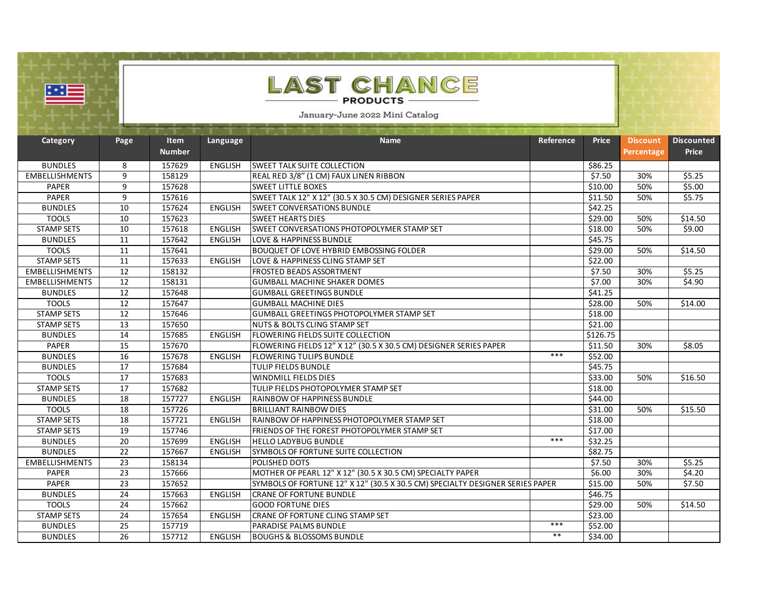|                       |                 | $\blacksquare$               |                |                                                                               |           |              |                               |                                   |
|-----------------------|-----------------|------------------------------|----------------|-------------------------------------------------------------------------------|-----------|--------------|-------------------------------|-----------------------------------|
| <u>∷∵</u>             |                 |                              |                | <b>LAST CHANCE</b><br><b>PRODUCTS</b><br>January-June 2022 Mini Catalog       |           |              |                               |                                   |
|                       |                 |                              |                |                                                                               |           |              |                               |                                   |
| Category              | Page            | <b>Item</b><br><b>Number</b> | Language       | <b>Name</b>                                                                   | Reference | <b>Price</b> | <b>Discount</b><br>Percentage | <b>Discounted</b><br><b>Price</b> |
| <b>BUNDLES</b>        | 8               | 157629                       | <b>ENGLISH</b> | SWEET TALK SUITE COLLECTION                                                   |           | \$86.25      |                               |                                   |
| <b>EMBELLISHMENTS</b> | $\mathsf{q}$    | 158129                       |                | REAL RED 3/8" (1 CM) FAUX LINEN RIBBON                                        |           | \$7.50       | 30%                           | \$5.25                            |
| <b>PAPER</b>          | 9               | 157628                       |                | <b>SWEET LITTLE BOXES</b>                                                     |           | \$10.00      | 50%                           | \$5.00                            |
| <b>PAPER</b>          | 9               | 157616                       |                | SWEET TALK 12" X 12" (30.5 X 30.5 CM) DESIGNER SERIES PAPER                   |           | \$11.50      | 50%                           | \$5.75                            |
| <b>BUNDLES</b>        | 10              | 157624                       | <b>ENGLISH</b> | <b>SWEET CONVERSATIONS BUNDLE</b>                                             |           | \$42.25      |                               |                                   |
| <b>TOOLS</b>          | 10              | 157623                       |                | <b>SWEET HEARTS DIES</b>                                                      |           | \$29.00      | 50%                           | \$14.50                           |
| <b>STAMP SETS</b>     | 10              | 157618                       | <b>ENGLISH</b> | SWEET CONVERSATIONS PHOTOPOLYMER STAMP SET                                    |           | \$18.00      | 50%                           | \$9.00                            |
| <b>BUNDLES</b>        | 11              | 157642                       | <b>ENGLISH</b> | <b>LOVE &amp; HAPPINESS BUNDLE</b>                                            |           | \$45.75      |                               |                                   |
| <b>TOOLS</b>          | 11              | 157641                       |                | <b>BOUQUET OF LOVE HYBRID EMBOSSING FOLDER</b>                                |           | \$29.00      | 50%                           | \$14.50                           |
| <b>STAMP SETS</b>     | $\overline{11}$ | 157633                       | <b>ENGLISH</b> | LOVE & HAPPINESS CLING STAMP SET                                              |           | \$22.00      |                               |                                   |
| <b>EMBELLISHMENTS</b> | 12              | 158132                       |                | FROSTED BEADS ASSORTMENT                                                      |           | \$7.50       | 30%                           | \$5.25                            |
| <b>EMBELLISHMENTS</b> | 12              | 158131                       |                | <b>GUMBALL MACHINE SHAKER DOMES</b>                                           |           | \$7.00       | 30%                           | \$4.90                            |
| <b>BUNDLES</b>        | 12              | 157648                       |                | <b>GUMBALL GREETINGS BUNDLE</b>                                               |           | \$41.25      |                               |                                   |
| <b>TOOLS</b>          | 12              | 157647                       |                | <b>GUMBALL MACHINE DIES</b>                                                   |           | \$28.00      | 50%                           | \$14.00                           |
| <b>STAMP SETS</b>     | 12              | 157646                       |                | <b>GUMBALL GREETINGS PHOTOPOLYMER STAMP SET</b>                               |           | \$18.00      |                               |                                   |
| <b>STAMP SETS</b>     | 13              | 157650                       |                | NUTS & BOLTS CLING STAMP SET                                                  |           | \$21.00      |                               |                                   |
| <b>BUNDLES</b>        | 14              | 157685                       | <b>ENGLISH</b> | <b>FLOWERING FIELDS SUITE COLLECTION</b>                                      |           | \$126.75     |                               |                                   |
| <b>PAPER</b>          | $\overline{15}$ | 157670                       |                | FLOWERING FIELDS 12" X 12" (30.5 X 30.5 CM) DESIGNER SERIES PAPER             |           | \$11.50      | 30%                           | \$8.05                            |
| <b>BUNDLES</b>        | 16              | 157678                       | <b>ENGLISH</b> | <b>FLOWERING TULIPS BUNDLE</b>                                                | ***       | \$52.00      |                               |                                   |
| <b>BUNDLES</b>        | 17              | 157684                       |                | <b>TULIP FIELDS BUNDLE</b>                                                    |           | \$45.75      |                               |                                   |
| <b>TOOLS</b>          | 17              | 157683                       |                | <b>WINDMILL FIELDS DIES</b>                                                   |           | \$33.00      | 50%                           | \$16.50                           |
| <b>STAMP SETS</b>     | $\overline{17}$ | 157682                       |                | TULIP FIELDS PHOTOPOLYMER STAMP SET                                           |           | \$18.00      |                               |                                   |
| <b>BUNDLES</b>        | 18              | 157727                       | <b>ENGLISH</b> | RAINBOW OF HAPPINESS BUNDLE                                                   |           | \$44.00      |                               |                                   |
| <b>TOOLS</b>          | 18              | 157726                       |                | <b>BRILLIANT RAINBOW DIES</b>                                                 |           | \$31.00      | 50%                           | \$15.50                           |
| <b>STAMP SETS</b>     | 18              | 157721                       | <b>ENGLISH</b> | RAINBOW OF HAPPINESS PHOTOPOLYMER STAMP SET                                   |           | \$18.00      |                               |                                   |
| <b>STAMP SETS</b>     | 19              | 157746                       |                | FRIENDS OF THE FOREST PHOTOPOLYMER STAMP SET                                  |           | \$17.00      |                               |                                   |
| <b>BUNDLES</b>        | 20              | 157699                       | <b>ENGLISH</b> | <b>HELLO LADYBUG BUNDLE</b>                                                   | ***       | \$32.25      |                               |                                   |
| <b>BUNDLES</b>        | $\overline{22}$ | 157667                       | <b>ENGLISH</b> | SYMBOLS OF FORTUNE SUITE COLLECTION                                           |           | \$82.75      |                               |                                   |
| <b>EMBELLISHMENTS</b> | $\overline{23}$ | 158134                       |                | POLISHED DOTS                                                                 |           | \$7.50       | 30%                           | \$5.25                            |
| <b>PAPER</b>          | $\overline{23}$ | 157666                       |                | MOTHER OF PEARL 12" X 12" (30.5 X 30.5 CM) SPECIALTY PAPER                    |           | \$6.00       | 30%                           | \$4.20                            |
| <b>PAPER</b>          | $\overline{23}$ | 157652                       |                | SYMBOLS OF FORTUNE 12" X 12" (30.5 X 30.5 CM) SPECIALTY DESIGNER SERIES PAPER |           | \$15.00      | 50%                           | \$7.50                            |
| <b>BUNDLES</b>        | 24              | 157663                       | <b>ENGLISH</b> | <b>CRANE OF FORTUNE BUNDLE</b>                                                |           | \$46.75      |                               |                                   |
| <b>TOOLS</b>          | 24              | 157662                       |                | <b>GOOD FORTUNE DIES</b>                                                      |           | \$29.00      | 50%                           | \$14.50                           |
| <b>STAMP SETS</b>     | 24              | 157654                       | <b>ENGLISH</b> | CRANE OF FORTUNE CLING STAMP SET                                              |           | \$23.00      |                               |                                   |
| <b>BUNDLES</b>        | $\overline{25}$ | 157719                       |                | PARADISE PALMS BUNDLE                                                         | ***       | \$52.00      |                               |                                   |
| <b>BUNDLES</b>        | $\overline{26}$ | 157712                       | <b>ENGLISH</b> | <b>BOUGHS &amp; BLOSSOMS BUNDLE</b>                                           | $**$      | \$34.00      |                               |                                   |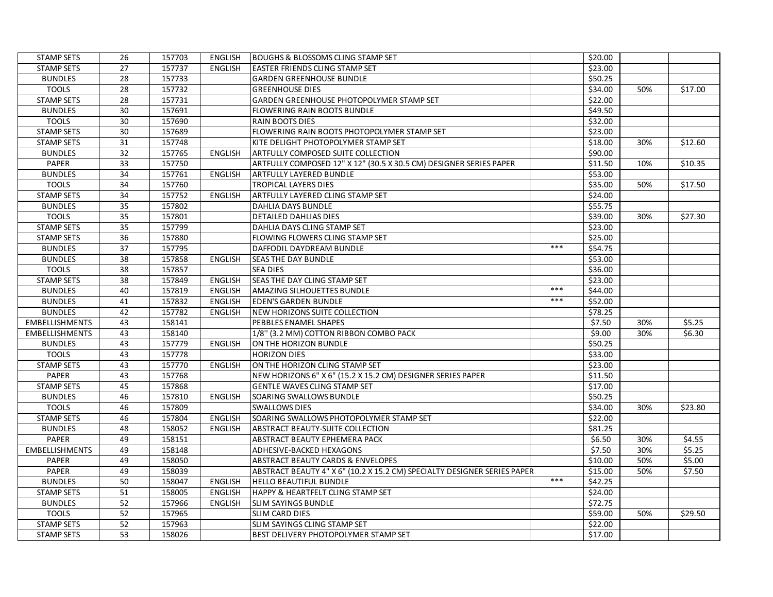| <b>STAMP SETS</b>     | 26              | 157703 | ENGLISH        | <b>BOUGHS &amp; BLOSSOMS CLING STAMP SET</b>                             |     | \$20.00             |     |         |
|-----------------------|-----------------|--------|----------------|--------------------------------------------------------------------------|-----|---------------------|-----|---------|
| <b>STAMP SETS</b>     | 27              | 157737 | <b>ENGLISH</b> | <b>EASTER FRIENDS CLING STAMP SET</b>                                    |     | \$23.00             |     |         |
| <b>BUNDLES</b>        | 28              | 157733 |                | <b>GARDEN GREENHOUSE BUNDLE</b>                                          |     | \$50.25             |     |         |
| <b>TOOLS</b>          | 28              | 157732 |                | <b>GREENHOUSE DIES</b>                                                   |     | \$34.00             | 50% | \$17.00 |
| <b>STAMP SETS</b>     | 28              | 157731 |                | GARDEN GREENHOUSE PHOTOPOLYMER STAMP SET                                 |     | \$22.00             |     |         |
| <b>BUNDLES</b>        | 30              | 157691 |                | <b>FLOWERING RAIN BOOTS BUNDLE</b>                                       |     | \$49.50             |     |         |
| <b>TOOLS</b>          | 30              | 157690 |                | <b>RAIN BOOTS DIES</b>                                                   |     | \$32.00             |     |         |
| <b>STAMP SETS</b>     | 30              | 157689 |                | FLOWERING RAIN BOOTS PHOTOPOLYMER STAMP SET                              |     | $\overline{$}23.00$ |     |         |
| <b>STAMP SETS</b>     | 31              | 157748 |                | KITE DELIGHT PHOTOPOLYMER STAMP SET                                      |     | \$18.00             | 30% | \$12.60 |
| <b>BUNDLES</b>        | 32              | 157765 | <b>ENGLISH</b> | <b>ARTFULLY COMPOSED SUITE COLLECTION</b>                                |     | \$90.00             |     |         |
| PAPER                 | $\overline{33}$ | 157750 |                | ARTFULLY COMPOSED 12" X 12" (30.5 X 30.5 CM) DESIGNER SERIES PAPER       |     | \$11.50             | 10% | \$10.35 |
| <b>BUNDLES</b>        | 34              | 157761 | <b>ENGLISH</b> | <b>ARTFULLY LAYERED BUNDLE</b>                                           |     | \$53.00             |     |         |
| <b>TOOLS</b>          | 34              | 157760 |                | <b>TROPICAL LAYERS DIES</b>                                              |     | \$35.00             | 50% | \$17.50 |
| <b>STAMP SETS</b>     | 34              | 157752 | <b>ENGLISH</b> | ARTFULLY LAYERED CLING STAMP SET                                         |     | \$24.00             |     |         |
| <b>BUNDLES</b>        | 35              | 157802 |                | <b>DAHLIA DAYS BUNDLE</b>                                                |     | \$55.75             |     |         |
| <b>TOOLS</b>          | 35              | 157801 |                | <b>DETAILED DAHLIAS DIES</b>                                             |     | \$39.00             | 30% | \$27.30 |
| <b>STAMP SETS</b>     | 35              | 157799 |                | DAHLIA DAYS CLING STAMP SET                                              |     | \$23.00             |     |         |
| <b>STAMP SETS</b>     | 36              | 157880 |                | FLOWING FLOWERS CLING STAMP SET                                          |     | \$25.00             |     |         |
| <b>BUNDLES</b>        | $\overline{37}$ | 157795 |                | DAFFODIL DAYDREAM BUNDLE                                                 | *** | \$54.75             |     |         |
| <b>BUNDLES</b>        | 38              | 157858 | <b>ENGLISH</b> | <b>SEAS THE DAY BUNDLE</b>                                               |     | \$53.00             |     |         |
| <b>TOOLS</b>          | 38              | 157857 |                | <b>SEA DIES</b>                                                          |     | \$36.00             |     |         |
| <b>STAMP SETS</b>     | 38              | 157849 | <b>ENGLISH</b> | <b>SEAS THE DAY CLING STAMP SET</b>                                      |     | \$23.00             |     |         |
| <b>BUNDLES</b>        | 40              | 157819 | <b>ENGLISH</b> | <b>AMAZING SILHOUETTES BUNDLE</b>                                        | *** | \$44.00             |     |         |
| <b>BUNDLES</b>        | 41              | 157832 | <b>ENGLISH</b> | <b>EDEN'S GARDEN BUNDLE</b>                                              | *** | \$52.00             |     |         |
| <b>BUNDLES</b>        | 42              | 157782 | <b>ENGLISH</b> | NEW HORIZONS SUITE COLLECTION                                            |     | \$78.25             |     |         |
| <b>EMBELLISHMENTS</b> | 43              | 158141 |                | <b>PEBBLES ENAMEL SHAPES</b>                                             |     | \$7.50              | 30% | \$5.25  |
| <b>EMBELLISHMENTS</b> | 43              | 158140 |                | 1/8" (3.2 MM) COTTON RIBBON COMBO PACK                                   |     | \$9.00              | 30% | \$6.30  |
| <b>BUNDLES</b>        | 43              | 157779 | <b>ENGLISH</b> | ON THE HORIZON BUNDLE                                                    |     | \$50.25             |     |         |
| <b>TOOLS</b>          | 43              | 157778 |                | <b>HORIZON DIES</b>                                                      |     | \$33.00             |     |         |
| <b>STAMP SETS</b>     | 43              | 157770 | <b>ENGLISH</b> | ON THE HORIZON CLING STAMP SET                                           |     | \$23.00             |     |         |
| <b>PAPER</b>          | 43              | 157768 |                | NEW HORIZONS 6" X 6" (15.2 X 15.2 CM) DESIGNER SERIES PAPER              |     | \$11.50             |     |         |
| <b>STAMP SETS</b>     | 45              | 157868 |                | <b>GENTLE WAVES CLING STAMP SET</b>                                      |     | \$17.00             |     |         |
| <b>BUNDLES</b>        | 46              | 157810 | <b>ENGLISH</b> | SOARING SWALLOWS BUNDLE                                                  |     | \$50.25             |     |         |
| <b>TOOLS</b>          | 46              | 157809 |                | <b>SWALLOWS DIES</b>                                                     |     | \$34.00             | 30% | \$23.80 |
| <b>STAMP SETS</b>     | 46              | 157804 | <b>ENGLISH</b> | SOARING SWALLOWS PHOTOPOLYMER STAMP SET                                  |     | \$22.00             |     |         |
| <b>BUNDLES</b>        | 48              | 158052 | <b>ENGLISH</b> | <b>ABSTRACT BEAUTY-SUITE COLLECTION</b>                                  |     | \$81.25             |     |         |
| PAPER                 | 49              | 158151 |                | <b>ABSTRACT BEAUTY EPHEMERA PACK</b>                                     |     | \$6.50              | 30% | \$4.55  |
| <b>EMBELLISHMENTS</b> | 49              | 158148 |                | ADHESIVE-BACKED HEXAGONS                                                 |     | \$7.50              | 30% | \$5.25  |
| <b>PAPER</b>          | 49              | 158050 |                | ABSTRACT BEAUTY CARDS & ENVELOPES                                        |     | \$10.00             | 50% | \$5.00  |
| PAPER                 | 49              | 158039 |                | ABSTRACT BEAUTY 4" X 6" (10.2 X 15.2 CM) SPECIALTY DESIGNER SERIES PAPER |     | \$15.00             | 50% | \$7.50  |
| <b>BUNDLES</b>        | 50              | 158047 | ENGLISH        | <b>HELLO BEAUTIFUL BUNDLE</b>                                            | *** | \$42.25             |     |         |
| <b>STAMP SETS</b>     | 51              | 158005 | <b>ENGLISH</b> | <b>HAPPY &amp; HEARTFELT CLING STAMP SET</b>                             |     | \$24.00             |     |         |
| <b>BUNDLES</b>        | 52              | 157966 | <b>ENGLISH</b> | <b>SLIM SAYINGS BUNDLE</b>                                               |     | \$72.75             |     |         |
| <b>TOOLS</b>          | 52              | 157965 |                | <b>SLIM CARD DIES</b>                                                    |     | \$59.00             | 50% | \$29.50 |
| <b>STAMP SETS</b>     | 52              | 157963 |                | SLIM SAYINGS CLING STAMP SET                                             |     | \$22.00             |     |         |
| <b>STAMP SETS</b>     | 53              | 158026 |                | BEST DELIVERY PHOTOPOLYMER STAMP SET                                     |     | \$17.00             |     |         |